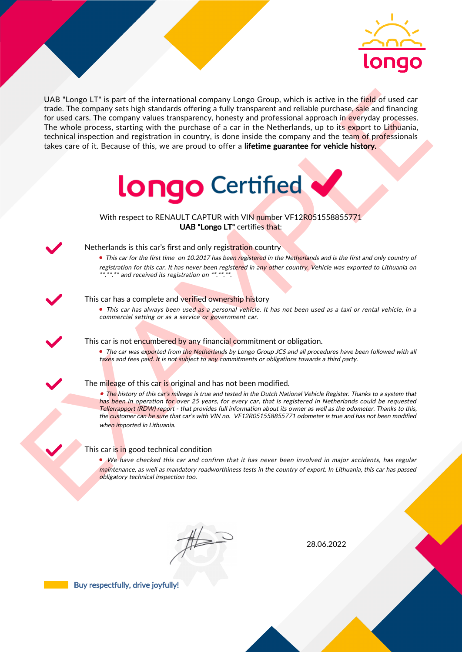

UAS "Lange LI" is part of the interactional company longe Group, which is active in the field of uast car<br>for the field of the control and the interaction between the particles are provided interactional properties. The w UAB "Longo LT" is part of the international company Longo Group, which is active in the field of used car trade. The company sets high standards offering a fully transparent and reliable purchase, sale and financing for used cars. The company values transparency, honesty and professional approach in everyday processes. The whole process, starting with the purchase of a car in the Netherlands, up to its export to Lithuania, technical inspection and registration in country, is done inside the company and the team of professionals takes care of it. Because of this, we are proud to offer a lifetime guarantee for vehicle history.



With respect to RENAULT CAPTUR with VIN number VF12R051558855771 UAB "Longo LT" certifies that:



## Netherlands is this car's first and only registration country

• This car for the first time on 10.2017 has been registered in the Netherlands and is the first and only country of registration for this car. It has never been registered in any other country. Vehicle was exported to Lithuania on \*.\*\*.\*\* and received its registration on \*\*.\*\*.\*\*.

## This car has a complete and verified ownership history

• This car has always been used as a personal vehicle. It has not been used as a taxi or rental vehicle, in a commercial setting or as a service or government car.

This car is not encumbered by any financial commitment or obligation.

• The car was exported from the Netherlands by Longo Group JCS and all procedures have been followed with all taxes and fees paid. It is not subject to any commitments or obligations towards a third party.

#### The mileage of this car is original and has not been modified.

• The history of this car's mileage is true and tested in the Dutch National Vehicle Register. Thanks to a system that has been in operation for over 25 years, for every car, that is registered in Netherlands could be requested Tellerrapport (RDW) report - that provides full information about its owner as well as the odometer. Thanks to this, the customer can be sure that car's with VIN no. VF12R051558855771 odometer is true and has not been modified when imported in Lithuania.

## This car is in good technical condition

• We have checked this car and confirm that it has never been involved in major accidents, has regular maintenance, as well as mandatory roadworthiness tests in the country of export. In Lithuania, this car has passed obligatory technical inspection too.

28.06.2022

Buy respectfully, drive joyfully!